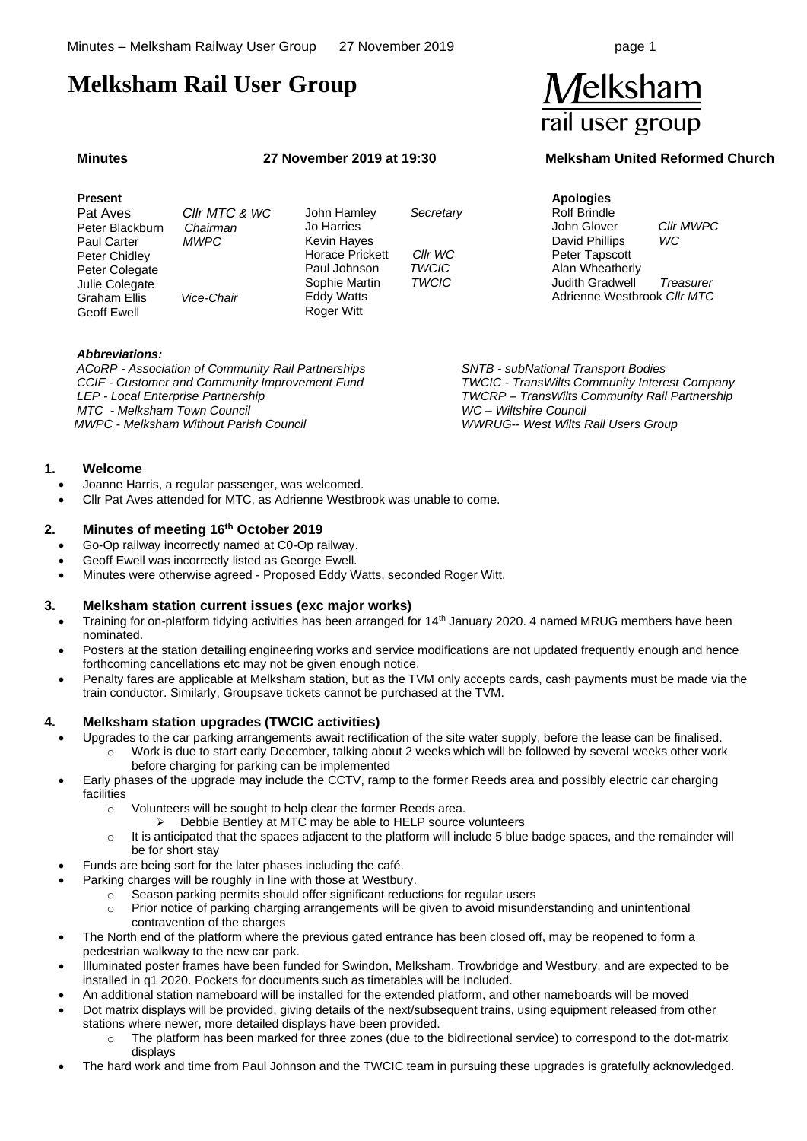# **Melksham Rail User Group**

#### **Present**

 Pat Aves *Cllr MTC & WC* **Peter Blackburn**  Paul Carter *MWPC* Peter Chidley Peter Colegate Julie Colegate Graham Ellis *Vice-Chair* Geoff Ewell

John Hamley *Secretary* Jo Harries Kevin Hayes Horace Prickett *Cllr WC* **Paul Johnson** Sophie Martin *TWCIC* Eddy Watts Roger Witt

**Apologies** Rolf Brindle John Glover *Cllr MWPC* David Phillips *WC* Peter Tapscott Alan Wheatherly Judith Gradwell *Treasurer* Adrienne Westbrook *Cllr MTC*

#### *Abbreviations:*

*ACoRP - Association of Community Rail Partnerships CCIF - Customer and Community Improvement Fund LEP - Local Enterprise Partnership MTC - Melksham Town Council MWPC - Melksham Without Parish Council*

*SNTB - subNational Transport Bodies TWCIC - TransWilts Community Interest Company TWCRP – TransWilts Community Rail Partnership WC – Wiltshire Council WWRUG-- West Wilts Rail Users Group*

# **1. Welcome**

- Joanne Harris, a regular passenger, was welcomed.
- Cllr Pat Aves attended for MTC, as Adrienne Westbrook was unable to come.

#### **2. Minutes of meeting 16th October 2019**

- Go-Op railway incorrectly named at C0-Op railway.
- Geoff Ewell was incorrectly listed as George Ewell.
- Minutes were otherwise agreed Proposed Eddy Watts, seconded Roger Witt.

#### **3. Melksham station current issues (exc major works)**

- Training for on-platform tidying activities has been arranged for 14<sup>th</sup> January 2020. 4 named MRUG members have been nominated.
- Posters at the station detailing engineering works and service modifications are not updated frequently enough and hence forthcoming cancellations etc may not be given enough notice.
- Penalty fares are applicable at Melksham station, but as the TVM only accepts cards, cash payments must be made via the train conductor. Similarly, Groupsave tickets cannot be purchased at the TVM.

#### **4. Melksham station upgrades (TWCIC activities)**

- Upgrades to the car parking arrangements await rectification of the site water supply, before the lease can be finalised.
	- Work is due to start early December, talking about 2 weeks which will be followed by several weeks other work before charging for parking can be implemented
- Early phases of the upgrade may include the CCTV, ramp to the former Reeds area and possibly electric car charging facilities
	- o Volunteers will be sought to help clear the former Reeds area.
		- ➢ Debbie Bentley at MTC may be able to HELP source volunteers
	- $\circ$  It is anticipated that the spaces adjacent to the platform will include 5 blue badge spaces, and the remainder will be for short stay
- Funds are being sort for the later phases including the café.
	- Parking charges will be roughly in line with those at Westbury.
		- $\circ$  Season parking permits should offer significant reductions for regular users
		- o Prior notice of parking charging arrangements will be given to avoid misunderstanding and unintentional contravention of the charges
- The North end of the platform where the previous gated entrance has been closed off, may be reopened to form a pedestrian walkway to the new car park.
- Illuminated poster frames have been funded for Swindon, Melksham, Trowbridge and Westbury, and are expected to be installed in q1 2020. Pockets for documents such as timetables will be included.
- An additional station nameboard will be installed for the extended platform, and other nameboards will be moved
- Dot matrix displays will be provided, giving details of the next/subsequent trains, using equipment released from other stations where newer, more detailed displays have been provided.
	- o The platform has been marked for three zones (due to the bidirectional service) to correspond to the dot-matrix displays
- The hard work and time from Paul Johnson and the TWCIC team in pursuing these upgrades is gratefully acknowledged.



# **Minutes 27 November 2019 at 19:30 Melksham United Reformed Church**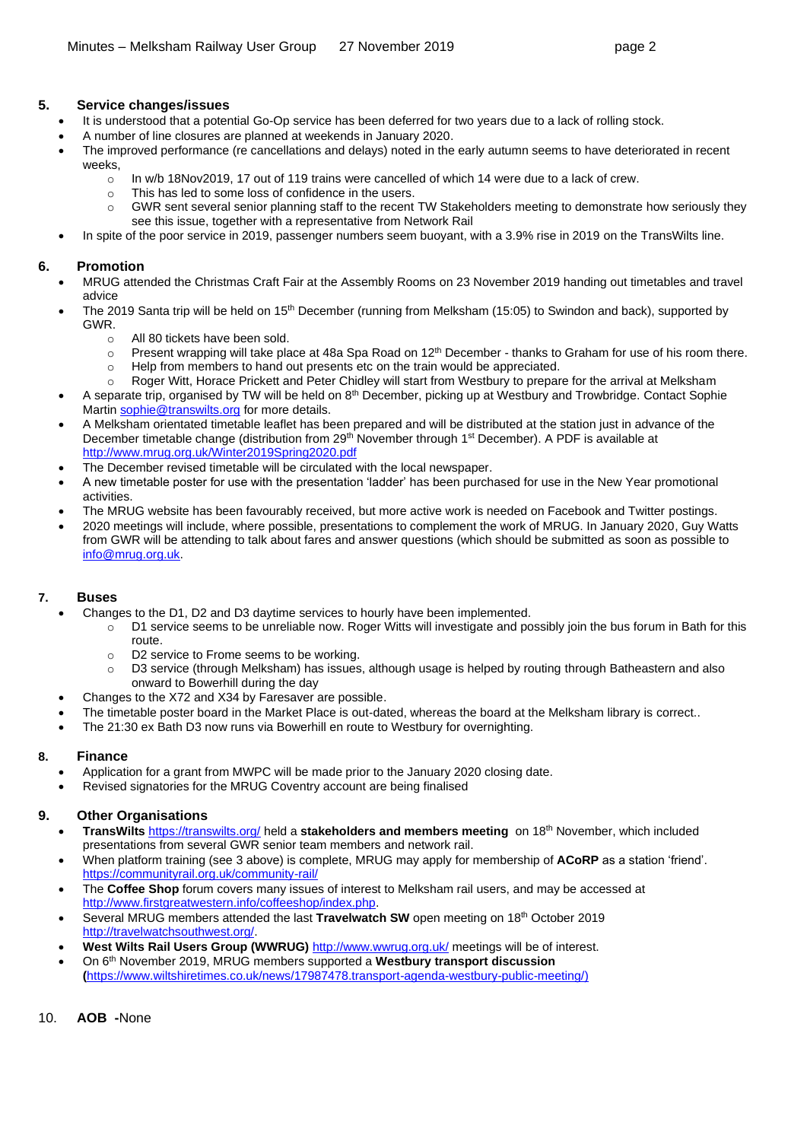### **5. Service changes/issues**

- It is understood that a potential Go-Op service has been deferred for two years due to a lack of rolling stock.
- A number of line closures are planned at weekends in January 2020.
- The improved performance (re cancellations and delays) noted in the early autumn seems to have deteriorated in recent weeks,
	- o In w/b 18Nov2019, 17 out of 119 trains were cancelled of which 14 were due to a lack of crew.
	- o This has led to some loss of confidence in the users.
	- $\circ$  GWR sent several senior planning staff to the recent TW Stakeholders meeting to demonstrate how seriously they see this issue, together with a representative from Network Rail
- In spite of the poor service in 2019, passenger numbers seem buovant, with a 3.9% rise in 2019 on the TransWilts line.

### **6. Promotion**

- MRUG attended the Christmas Craft Fair at the Assembly Rooms on 23 November 2019 handing out timetables and travel advice
- The 2019 Santa trip will be held on 15<sup>th</sup> December (running from Melksham (15:05) to Swindon and back), supported by GWR.
	- o All 80 tickets have been sold.
	- $\circ$  Present wrapping will take place at 48a Spa Road on 12<sup>th</sup> December thanks to Graham for use of his room there. o Help from members to hand out presents etc on the train would be appreciated.
	- o Roger Witt, Horace Prickett and Peter Chidley will start from Westbury to prepare for the arrival at Melksham
- A separate trip, organised by TW will be held on 8<sup>th</sup> December, picking up at Westbury and Trowbridge. Contact Sophie Marti[n sophie@transwilts.org](mailto:sophie@transwilts.org) for more details.
- A Melksham orientated timetable leaflet has been prepared and will be distributed at the station just in advance of the December timetable change (distribution from 29<sup>th</sup> November through 1<sup>st</sup> December). A PDF is available at <http://www.mrug.org.uk/Winter2019Spring2020.pdf>
	- The December revised timetable will be circulated with the local newspaper.
- A new timetable poster for use with the presentation 'ladder' has been purchased for use in the New Year promotional activities.
- The MRUG website has been favourably received, but more active work is needed on Facebook and Twitter postings.
- 2020 meetings will include, where possible, presentations to complement the work of MRUG. In January 2020, Guy Watts from GWR will be attending to talk about fares and answer questions (which should be submitted as soon as possible to [info@mrug.org.uk.](mailto:info@mrug.org.uk)

# **7. Buses**

- Changes to the D1, D2 and D3 daytime services to hourly have been implemented.
	- o D1 service seems to be unreliable now. Roger Witts will investigate and possibly join the bus forum in Bath for this route.
	- o D2 service to Frome seems to be working.
	- o D3 service (through Melksham) has issues, although usage is helped by routing through Batheastern and also onward to Bowerhill during the day
	- Changes to the X72 and X34 by Faresaver are possible.
- The timetable poster board in the Market Place is out-dated, whereas the board at the Melksham library is correct..
- The 21:30 ex Bath D3 now runs via Bowerhill en route to Westbury for overnighting.

# **8. Finance**

- Application for a grant from MWPC will be made prior to the January 2020 closing date.
- Revised signatories for the MRUG Coventry account are being finalised

# **9. Other Organisations**

- **TransWilts** <https://transwilts.org/> held a **stakeholders and members meeting** on 18th November, which included presentations from several GWR senior team members and network rail.
- When platform training (see 3 above) is complete, MRUG may apply for membership of **ACoRP** as a station 'friend'. <https://communityrail.org.uk/community-rail/>
- The **Coffee Shop** forum covers many issues of interest to Melksham rail users, and may be accessed at [http://www.firstgreatwestern.info/coffeeshop/index.php.](http://www.firstgreatwestern.info/coffeeshop/index.php)
- Several MRUG members attended the last **Travelwatch SW** open meeting on 18<sup>th</sup> October 2019 [http://travelwatchsouthwest.org/.](http://travelwatchsouthwest.org/)
- **West Wilts Rail Users Group (WWRUG)** <http://www.wwrug.org.uk/> meetings will be of interest.
- On 6<sup>th</sup> November 2019, MRUG members supported a **Westbury transport discussion (**[https://www.wiltshiretimes.co.uk/news/17987478.transport-agenda-westbury-public-meeting/\)](https://www.wiltshiretimes.co.uk/news/17987478.transport-agenda-westbury-public-meeting/)